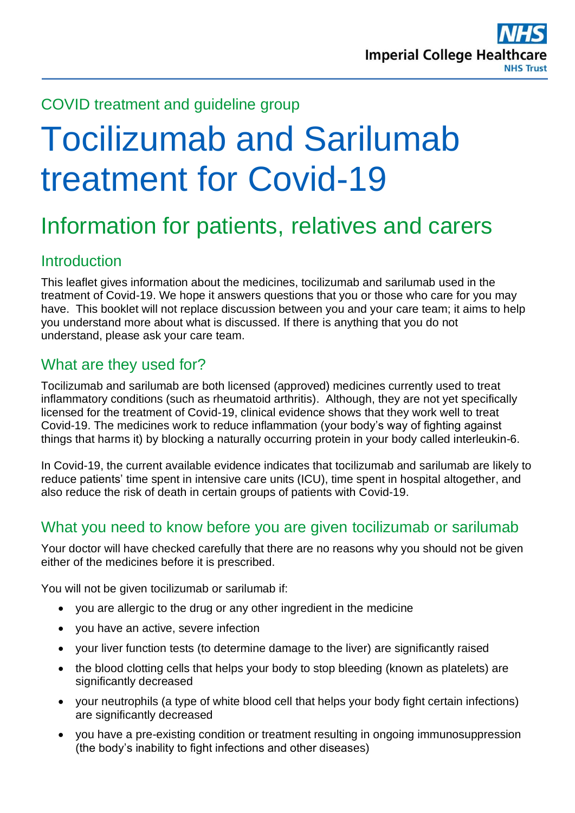

#### COVID treatment and guideline group

# Tocilizumab and Sarilumab treatment for Covid-19

# Information for patients, relatives and carers

## Introduction

This leaflet gives information about the medicines, tocilizumab and sarilumab used in the treatment of Covid-19. We hope it answers questions that you or those who care for you may have. This booklet will not replace discussion between you and your care team; it aims to help you understand more about what is discussed. If there is anything that you do not understand, please ask your care team.

## What are they used for?

Tocilizumab and sarilumab are both licensed (approved) medicines currently used to treat inflammatory conditions (such as rheumatoid arthritis). Although, they are not yet specifically licensed for the treatment of Covid-19, clinical evidence shows that they work well to treat Covid-19. The medicines work to reduce inflammation (your body's way of fighting against things that harms it) by blocking a naturally occurring protein in your body called interleukin-6.

In Covid-19, the current available evidence indicates that tocilizumab and sarilumab are likely to reduce patients' time spent in intensive care units (ICU), time spent in hospital altogether, and also reduce the risk of death in certain groups of patients with Covid-19.

#### What you need to know before you are given tocilizumab or sarilumab

Your doctor will have checked carefully that there are no reasons why you should not be given either of the medicines before it is prescribed.

You will not be given tocilizumab or sarilumab if:

- you are allergic to the drug or any other ingredient in the medicine
- you have an active, severe infection
- your liver function tests (to determine damage to the liver) are significantly raised
- the blood clotting cells that helps your body to stop bleeding (known as platelets) are significantly decreased
- your neutrophils (a type of white blood cell that helps your body fight certain infections) are significantly decreased
- you have a pre-existing condition or treatment resulting in ongoing immunosuppression (the body's inability to fight infections and other diseases)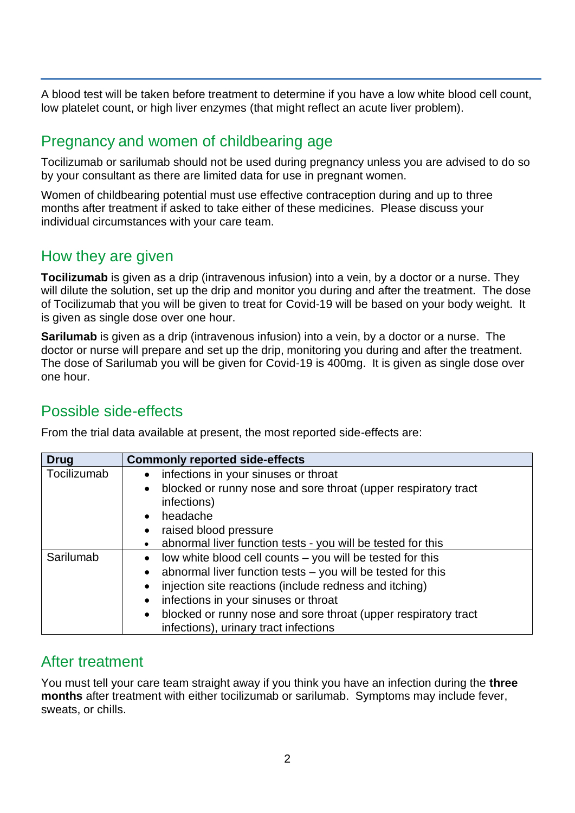A blood test will be taken before treatment to determine if you have a low white blood cell count, low platelet count, or high liver enzymes (that might reflect an acute liver problem).

# Pregnancy and women of childbearing age

Tocilizumab or sarilumab should not be used during pregnancy unless you are advised to do so by your consultant as there are limited data for use in pregnant women.

Women of childbearing potential must use effective contraception during and up to three months after treatment if asked to take either of these medicines. Please discuss your individual circumstances with your care team.

## How they are given

**Tocilizumab** is given as a drip (intravenous infusion) into a vein, by a doctor or a nurse. They will dilute the solution, set up the drip and monitor you during and after the treatment. The dose of Tocilizumab that you will be given to treat for Covid-19 will be based on your body weight. It is given as single dose over one hour.

**Sarilumab** is given as a drip (intravenous infusion) into a vein, by a doctor or a nurse. The doctor or nurse will prepare and set up the drip, monitoring you during and after the treatment. The dose of Sarilumab you will be given for Covid-19 is 400mg. It is given as single dose over one hour.

## Possible side-effects

From the trial data available at present, the most reported side-effects are:

| <b>Drug</b> | <b>Commonly reported side-effects</b>                                       |
|-------------|-----------------------------------------------------------------------------|
| Tocilizumab | infections in your sinuses or throat<br>$\bullet$                           |
|             | blocked or runny nose and sore throat (upper respiratory tract<br>$\bullet$ |
|             | infections)                                                                 |
|             | headache                                                                    |
|             | raised blood pressure                                                       |
|             | abnormal liver function tests - you will be tested for this                 |
| Sarilumab   | low white blood cell counts – you will be tested for this                   |
|             | abnormal liver function tests - you will be tested for this                 |
|             | injection site reactions (include redness and itching)                      |
|             | infections in your sinuses or throat<br>$\bullet$                           |
|             | blocked or runny nose and sore throat (upper respiratory tract<br>$\bullet$ |
|             | infections), urinary tract infections                                       |

#### After treatment

You must tell your care team straight away if you think you have an infection during the **three months** after treatment with either tocilizumab or sarilumab. Symptoms may include fever, sweats, or chills.